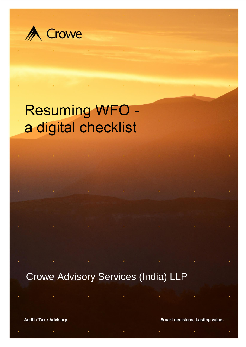

# Resuming WFO a digital checklist

Crowe Advisory Services (India) LLP

Audit / Tax / Advisory

**Smart decisions. Lasting value.**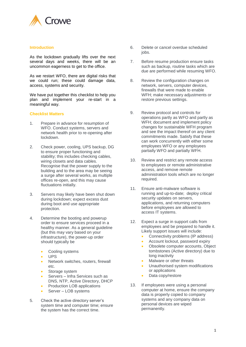

#### **Introduction**

As the lockdown gradually lifts over the next several days and weeks, there will be an uncommon eagerness to get to the office.

As we restart WFO, there are digital risks that we could run; these could damage data, access, systems and security.

We have put together this checklist to help you plan and implement your re-start in a meaningful way.

### **Checklist Matters**

- 1. Prepare in advance for resumption of WFO. Conduct systems, servers and network health prior to re-opening after lockdown.
- 2. Check power, cooling, UPS backup, DG to ensure proper functioning and stability; this includes checking cables, wiring closets and data cables. Recognise that the power supply to the building and to the area may be seeing a surge after several works, as multiple offices re-open, and this may cause fluctuations initially.
- 3. Servers may likely have been shut down during lockdown; expect excess dust during boot and use appropriate protection.
- 4. Determine the booting and powerup order to ensure services proceed in a healthy manner. As a general guideline (but this may vary based on your infrastructure), the power-up order should typically be
	- Cooling systems
	- UPS
	- Network switches, routers, firewall etc.
	- Storage system
	- Servers Infra Services such as DNS, NTP, Active Directory, DHCP
	- Production LOB applications
	- Server LOB systems
- 5. Check the active directory server's system time and computer time; ensure the system has the correct time.
- 6. Delete or cancel overdue scheduled jobs.
- 7. Before resume production ensure tasks such as backup, routine tasks which are due are performed while resuming WFO.
- 8. Review the configuration changes on network, servers, computer devices, firewalls that were made to enable WFH; make necessary adjustments or restore previous settings.
- 9. Review protocol and controls for operations partly as WFO and partly as WFH; document and implement policy changes for sustainable WFH program and see the impact thereof on any client commitments made. Satisfy that these can work concurrently with either some employees WFO or any employees partially WFO and partially WFH.
- 10. Review and restrict any remote access to employees or remote administrative access, and remove remote administration tools which are no longer required.
- 11. Ensure anti-malware software is running and up-to-date; deploy critical security updates on servers, applications, and returning computers before employees are allowed to access IT systems.
- 12. Expect a surge in support calls from employees and be prepared to handle it. Likely support issues will include:
	- Connectivity problems (IP address)
	- Account lockout, password expiry
	- Obsolete computer accounts, Object tombstones (Active directory) due to long inactivity
	- Malware or other threats
	- Unauthorised system modifications or applications
	- Data copy/restore
- 13. If employees were using a personal computer at home, ensure the company data is properly copied to company systems and any company data on personal devices are wiped permanently.